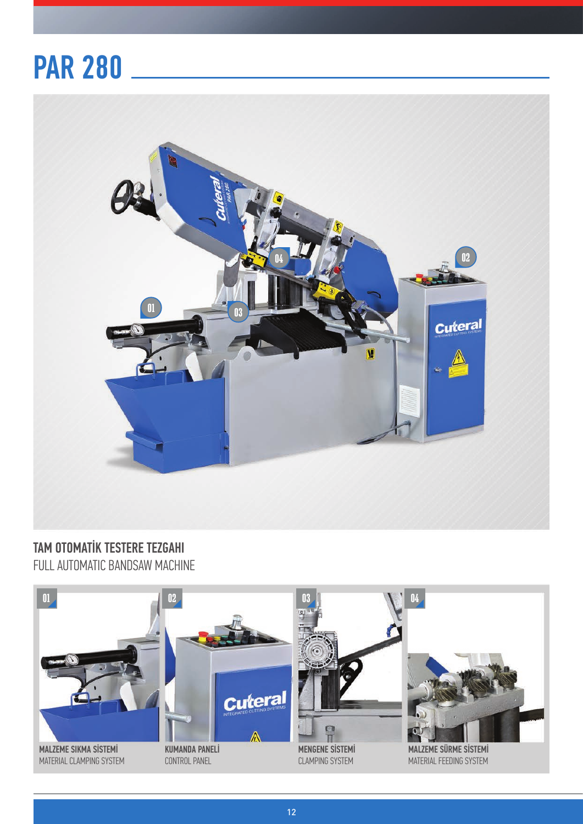## PAR 280



TAM OTOMATİK TESTERE TEZGAHI FULL AUTOMATIC BANDSAW MACHINE



12